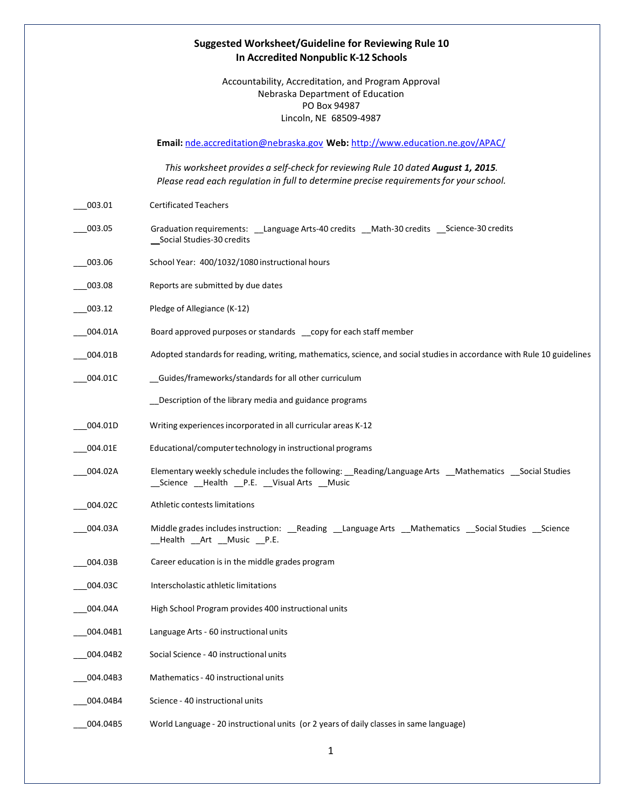## **Suggested Worksheet/Guideline for Reviewing Rule 10 In Accredited Nonpublic K-12 Schools**

Accountability, Accreditation, and Program Approval Nebraska Department of Education PO Box 94987 Lincoln, NE 68509-4987

**Email:** [nde.accreditation@nebraska.gov](mailto:nde.accreditation@nebraska.gov) **Web:** <http://www.education.ne.gov/APAC/>

*This worksheet provides a self-check for reviewing Rule 10 dated August 1, 2015. Please read each regulation in full to determine precise requirementsfor your school.*

- \_\_\_003.01 Certificated Teachers
- \_\_\_003.05 Graduation requirements: \_\_Language Arts-40 credits \_\_Math-30 credits \_\_Science-30 credits \_\_Social Studies-30 credits
- \_\_\_003.06 School Year: 400/1032/1080 instructional hours
- \_\_\_003.08 Reports are submitted by due dates
- 003.12 Pledge of Allegiance (K-12)
- \_\_\_004.01A Board approved purposes or standards \_\_copy for each staff member
- \_\_\_004.01B Adopted standardsfor reading, writing, mathematics,science, and social studiesin accordance with Rule 10 guidelines
- \_\_\_004.01C \_\_Guides/frameworks/standards for all other curriculum

\_\_Description of the library media and guidance programs

- \_\_\_004.01D Writing experiencesincorporated in all curricular areas K-12
- \_\_\_004.01E Educational/computertechnology in instructional programs
- \_\_\_004.02A Elementary weekly schedule includesthe following: \_\_Reading/LanguageArts \_\_Mathematics \_\_Social Studies \_\_Science \_\_Health \_\_P.E. \_\_Visual Arts \_\_Music
- \_\_\_004.02C Athletic contestslimitations
- \_\_\_004.03A Middle grades includesinstruction: \_\_Reading \_\_Language Arts \_\_Mathematics \_\_Social Studies \_\_Science \_\_Health \_\_Art \_\_Music \_\_P.E.
- \_\_\_004.03B Career education is in the middle grades program
- \_\_\_004.03C Interscholastic athletic limitations
- 004.04A High School Program provides 400 instructional units
- 004.04B1 Language Arts 60 instructional units
- \_\_\_004.04B2 Social Science 40 instructional units
- \_\_\_004.04B3 Mathematics- 40 instructional units
- 004.04B4 Science 40 instructional units
- \_\_\_004.04B5 World Language 20 instructional units (or 2 years of daily classes in same language)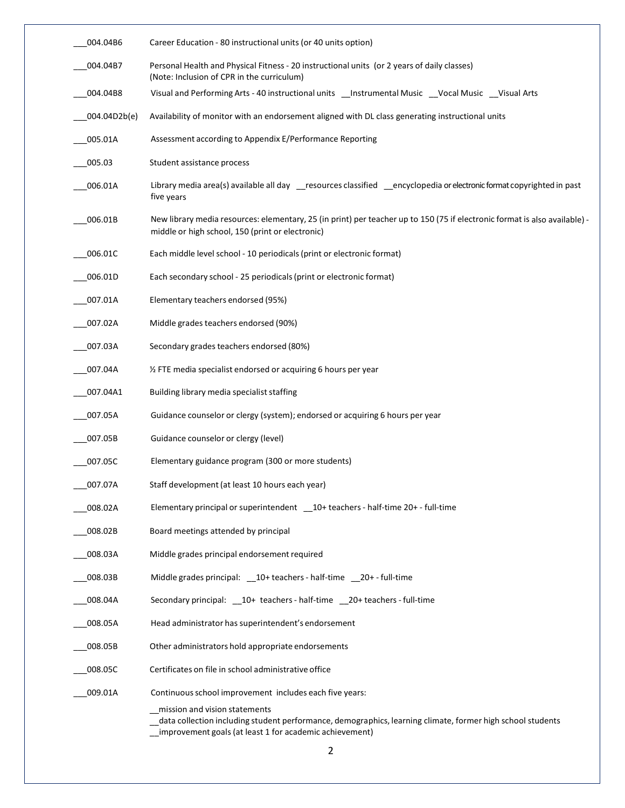| 004.04B6     | Career Education - 80 instructional units (or 40 units option)                                                                                                                                         |
|--------------|--------------------------------------------------------------------------------------------------------------------------------------------------------------------------------------------------------|
| 004.04B7     | Personal Health and Physical Fitness - 20 instructional units (or 2 years of daily classes)<br>(Note: Inclusion of CPR in the curriculum)                                                              |
| 004.04B8     | Visual and Performing Arts - 40 instructional units __Instrumental Music __Vocal Music __Visual Arts                                                                                                   |
| 004.04D2b(e) | Availability of monitor with an endorsement aligned with DL class generating instructional units                                                                                                       |
| 005.01A      | Assessment according to Appendix E/Performance Reporting                                                                                                                                               |
| 005.03       | Student assistance process                                                                                                                                                                             |
| 006.01A      | Library media area(s) available all day __resources classified __encyclopedia or electronic format copyrighted in past<br>five years                                                                   |
| 006.01B      | New library media resources: elementary, 25 (in print) per teacher up to 150 (75 if electronic format is also available) -<br>middle or high school, 150 (print or electronic)                         |
| 006.01C      | Each middle level school - 10 periodicals (print or electronic format)                                                                                                                                 |
| 006.01D      | Each secondary school - 25 periodicals (print or electronic format)                                                                                                                                    |
| 007.01A      | Elementary teachers endorsed (95%)                                                                                                                                                                     |
| 007.02A      | Middle grades teachers endorsed (90%)                                                                                                                                                                  |
| 007.03A      | Secondary grades teachers endorsed (80%)                                                                                                                                                               |
| 007.04A      | % FTE media specialist endorsed or acquiring 6 hours per year                                                                                                                                          |
| 007.04A1     | Building library media specialist staffing                                                                                                                                                             |
| 007.05A      | Guidance counselor or clergy (system); endorsed or acquiring 6 hours per year                                                                                                                          |
| 007.05B      | Guidance counselor or clergy (level)                                                                                                                                                                   |
| 007.05C      | Elementary guidance program (300 or more students)                                                                                                                                                     |
| 007.07A      | Staff development (at least 10 hours each year)                                                                                                                                                        |
| 008.02A      | Elementary principal or superintendent 10+ teachers - half-time 20+ - full-time                                                                                                                        |
| 008.02B      | Board meetings attended by principal                                                                                                                                                                   |
| 008.03A      | Middle grades principal endorsement required                                                                                                                                                           |
| 008.03B      | Middle grades principal: 10+ teachers - half-time 20+ - full-time                                                                                                                                      |
| 008.04A      | Secondary principal: 10+ teachers - half-time 20+ teachers - full-time                                                                                                                                 |
| 008.05A      | Head administrator has superintendent's endorsement                                                                                                                                                    |
| 008.05B      | Other administrators hold appropriate endorsements                                                                                                                                                     |
| 008.05C      | Certificates on file in school administrative office                                                                                                                                                   |
| 009.01A      | Continuous school improvement includes each five years:                                                                                                                                                |
|              | mission and vision statements<br>data collection including student performance, demographics, learning climate, former high school students<br>improvement goals (at least 1 for academic achievement) |